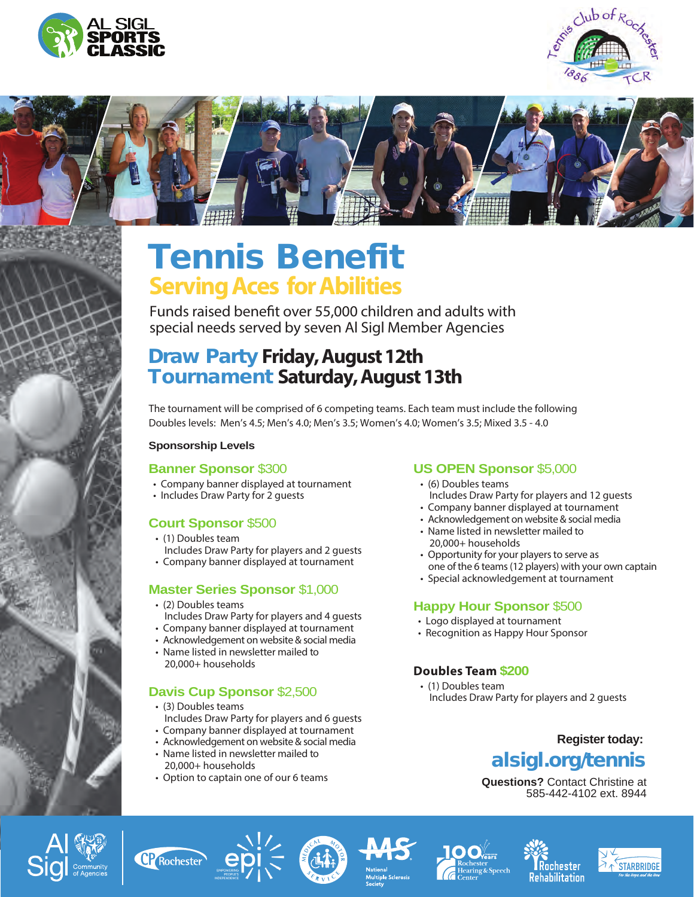







# Tennis Benefit **Serving Aces for Abilities**

Funds raised benefit over 55,000 children and adults with special needs served by seven Al Sigl Member Agencies

## Draw Party **Friday, August 12th** Tournament **Saturday, August 13th**

The tournament will be comprised of 6 competing teams. Each team must include the following Doubles levels: Men's 4.5; Men's 4.0; Men's 3.5; Women's 4.0; Women's 3.5; Mixed 3.5 - 4.0

#### **Sponsorship Levels**

#### **Banner Sponsor** \$300

- Company banner displayed at tournament
- Includes Draw Party for 2 guests

#### **Court Sponsor** \$500

- (1) Doubles team Includes Draw Party for players and 2 guests
- Company banner displayed at tournament

#### **Master Series Sponsor** \$1,000

- (2) Doubles teams Includes Draw Party for players and 4 guests
- Company banner displayed at tournament
- Acknowledgement on website & social media
- Name listed in newsletter mailed to 20,000+ households

#### **Davis Cup Sponsor** \$2,500

- (3) Doubles teams Includes Draw Party for players and 6 guests
- Company banner displayed at tournament
- Acknowledgement on website & social media
- Name listed in newsletter mailed to 20,000+ households
- Option to captain one of our 6 teams

#### **US OPEN Sponsor** \$5,000

- (6) Doubles teams Includes Draw Party for players and 12 guests
- Company banner displayed at tournament
- Acknowledgement on website & social media
- Name listed in newsletter mailed to 20,000+ households
- Opportunity for your players to serve as one of the 6 teams (12 players) with your own captain
- Special acknowledgement at tournament

#### **Happy Hour Sponsor** \$500

- Logo displayed at tournament
- Recognition as Happy Hour Sponsor

#### **Doubles Team \$200**

 • (1) Doubles team Includes Draw Party for players and 2 guests

### **Register today:** alsigl.org/tennis

**Questions?** Contact Christine at 585-442-4102 ext. 8944